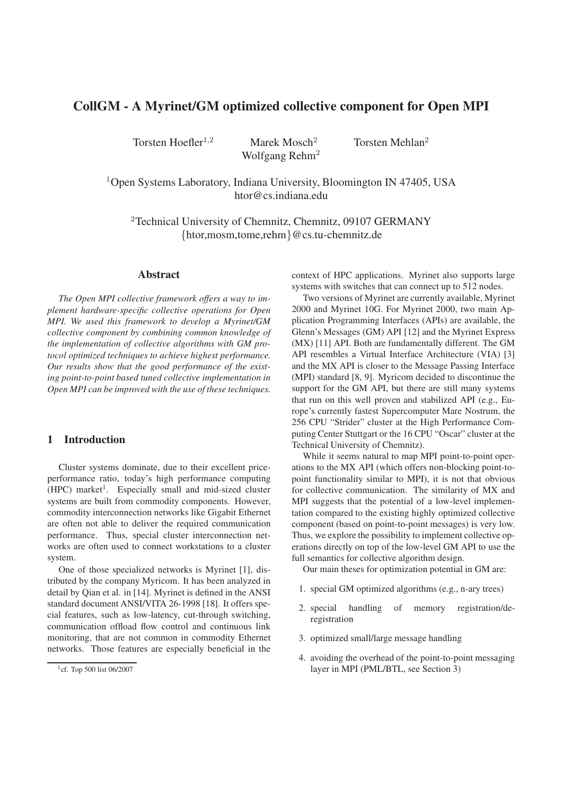# **CollGM - A Myrinet/GM optimized collective component for Open MPI**

Torsten Hoefler<sup>1,2</sup> Marek Mosch<sup>2</sup> Torsten Mehlan<sup>2</sup> Wolfgang Rehm<sup>2</sup>

 $1$ Open Systems Laboratory, Indiana University, Bloomington IN 47405, USA htor@cs.indiana.edu

<sup>2</sup>Technical University of Chemnitz, Chemnitz, 09107 GERMANY {htor,mosm,tome,rehm}@cs.tu-chemnitz.de

#### **Abstract**

*The Open MPI collective framework offers a way to implement hardware-specific collective operations for Open MPI. We used this framework to develop a Myrinet/GM collective component by combining common knowledge of the implementation of collective algorithms with GM protocol optimized techniques to achieve highest performance. Our results show that the good performance of the existing point-to-point based tuned collective implementation in Open MPI can be improved with the use of these techniques.*

## **1 Introduction**

Cluster systems dominate, due to their excellent priceperformance ratio, today's high performance computing (HPC) market<sup>1</sup>. Especially small and mid-sized cluster systems are built from commodity components. However, commodity interconnection networks like Gigabit Ethernet are often not able to deliver the required communication performance. Thus, special cluster interconnection networks are often used to connect workstations to a cluster system.

One of those specialized networks is Myrinet [1], distributed by the company Myricom. It has been analyzed in detail by Qian et al. in [14]. Myrinet is defined in the ANSI standard document ANSI/VITA 26-1998 [18]. It offers special features, such as low-latency, cut-through switching, communication offload flow control and continuous link monitoring, that are not common in commodity Ethernet networks. Those features are especially beneficial in the context of HPC applications. Myrinet also supports large systems with switches that can connect up to 512 nodes.

Two versions of Myrinet are currently available, Myrinet 2000 and Myrinet 10G. For Myrinet 2000, two main Application Programming Interfaces (APIs) are available, the Glenn's Messages (GM) API [12] and the Myrinet Express (MX) [11] API. Both are fundamentally different. The GM API resembles a Virtual Interface Architecture (VIA) [3] and the MX API is closer to the Message Passing Interface (MPI) standard [8, 9]. Myricom decided to discontinue the support for the GM API, but there are still many systems that run on this well proven and stabilized API (e.g., Europe's currently fastest Supercomputer Mare Nostrum, the 256 CPU "Strider" cluster at the High Performance Computing Center Stuttgart or the 16 CPU "Oscar" cluster at the Technical University of Chemnitz).

While it seems natural to map MPI point-to-point operations to the MX API (which offers non-blocking point-topoint functionality similar to MPI), it is not that obvious for collective communication. The similarity of MX and MPI suggests that the potential of a low-level implementation compared to the existing highly optimized collective component (based on point-to-point messages) is very low. Thus, we explore the possibility to implement collective operations directly on top of the low-level GM API to use the full semantics for collective algorithm design.

Our main theses for optimization potential in GM are:

- 1. special GM optimized algorithms (e.g., n-ary trees)
- 2. special handling of memory registration/deregistration
- 3. optimized small/large message handling
- 4. avoiding the overhead of the point-to-point messaging layer in MPI (PML/BTL, see Section 3)

<sup>&</sup>lt;sup>1</sup> cf. Top 500 list 06/2007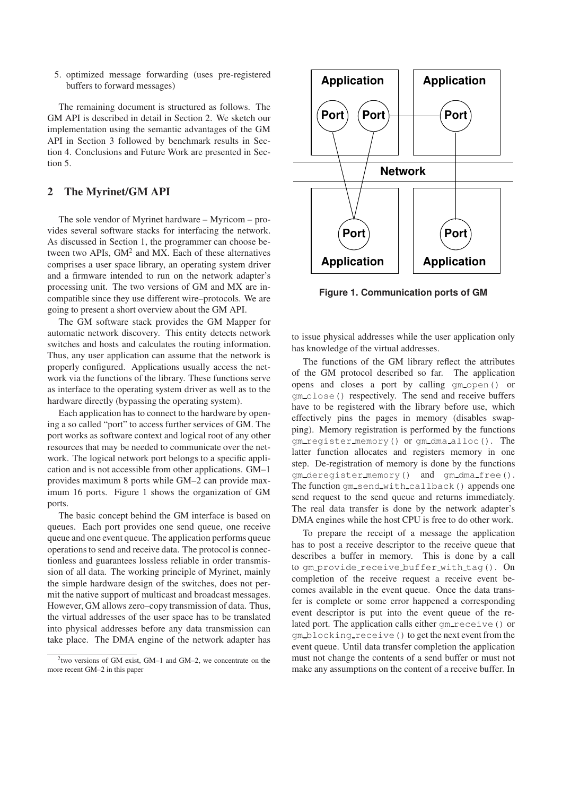5. optimized message forwarding (uses pre-registered buffers to forward messages)

The remaining document is structured as follows. The GM API is described in detail in Section 2. We sketch our implementation using the semantic advantages of the GM API in Section 3 followed by benchmark results in Section 4. Conclusions and Future Work are presented in Section 5.

## **2 The Myrinet/GM API**

The sole vendor of Myrinet hardware – Myricom – provides several software stacks for interfacing the network. As discussed in Section 1, the programmer can choose between two APIs,  $GM<sup>2</sup>$  and MX. Each of these alternatives comprises a user space library, an operating system driver and a firmware intended to run on the network adapter's processing unit. The two versions of GM and MX are incompatible since they use different wire–protocols. We are going to present a short overview about the GM API.

The GM software stack provides the GM Mapper for automatic network discovery. This entity detects network switches and hosts and calculates the routing information. Thus, any user application can assume that the network is properly configured. Applications usually access the network via the functions of the library. These functions serve as interface to the operating system driver as well as to the hardware directly (bypassing the operating system).

Each application has to connect to the hardware by opening a so called "port" to access further services of GM. The port works as software context and logical root of any other resources that may be needed to communicate over the network. The logical network port belongs to a specific application and is not accessible from other applications. GM–1 provides maximum 8 ports while GM–2 can provide maximum 16 ports. Figure 1 shows the organization of GM ports.

The basic concept behind the GM interface is based on queues. Each port provides one send queue, one receive queue and one event queue. The application performs queue operations to send and receive data. The protocol is connectionless and guarantees lossless reliable in order transmission of all data. The working principle of Myrinet, mainly the simple hardware design of the switches, does not permit the native support of multicast and broadcast messages. However, GM allows zero–copy transmission of data. Thus, the virtual addresses of the user space has to be translated into physical addresses before any data transmission can take place. The DMA engine of the network adapter has



**Figure 1. Communication ports of GM**

to issue physical addresses while the user application only has knowledge of the virtual addresses.

The functions of the GM library reflect the attributes of the GM protocol described so far. The application opens and closes a port by calling gm open() or gm close() respectively. The send and receive buffers have to be registered with the library before use, which effectively pins the pages in memory (disables swapping). Memory registration is performed by the functions gm register memory() or gm dma alloc(). The latter function allocates and registers memory in one step. De-registration of memory is done by the functions gm\_deregister\_memory() and gm\_dma\_free(). The function gm\_send\_with\_callback() appends one send request to the send queue and returns immediately. The real data transfer is done by the network adapter's DMA engines while the host CPU is free to do other work.

To prepare the receipt of a message the application has to post a receive descriptor to the receive queue that describes a buffer in memory. This is done by a call to gm provide receive buffer with tag(). On completion of the receive request a receive event becomes available in the event queue. Once the data transfer is complete or some error happened a corresponding event descriptor is put into the event queue of the related port. The application calls either  $qm\_receive()$  or gm blocking receive() to get the next event from the event queue. Until data transfer completion the application must not change the contents of a send buffer or must not make any assumptions on the content of a receive buffer. In

<sup>2</sup> two versions of GM exist, GM–1 and GM–2, we concentrate on the more recent GM–2 in this paper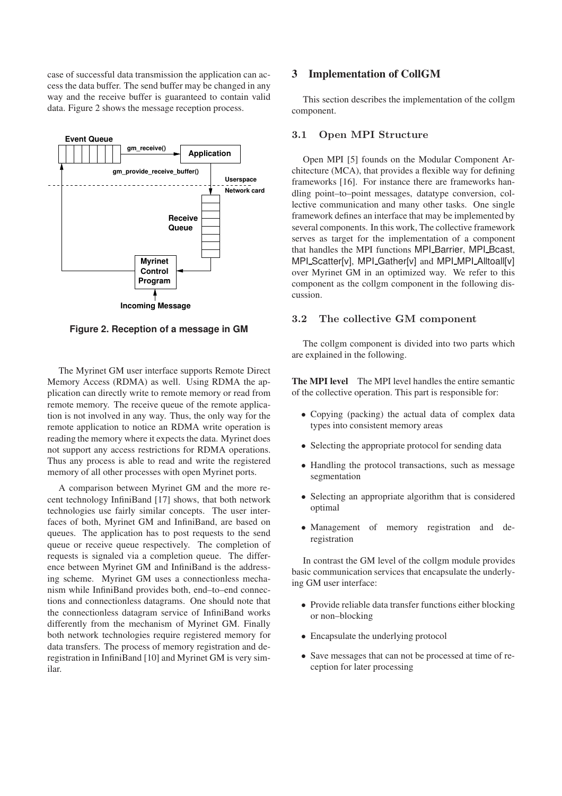case of successful data transmission the application can access the data buffer. The send buffer may be changed in any way and the receive buffer is guaranteed to contain valid data. Figure 2 shows the message reception process.



**Figure 2. Reception of a message in GM**

The Myrinet GM user interface supports Remote Direct Memory Access (RDMA) as well. Using RDMA the application can directly write to remote memory or read from remote memory. The receive queue of the remote application is not involved in any way. Thus, the only way for the remote application to notice an RDMA write operation is reading the memory where it expects the data. Myrinet does not support any access restrictions for RDMA operations. Thus any process is able to read and write the registered memory of all other processes with open Myrinet ports.

A comparison between Myrinet GM and the more recent technology InfiniBand [17] shows, that both network technologies use fairly similar concepts. The user interfaces of both, Myrinet GM and InfiniBand, are based on queues. The application has to post requests to the send queue or receive queue respectively. The completion of requests is signaled via a completion queue. The difference between Myrinet GM and InfiniBand is the addressing scheme. Myrinet GM uses a connectionless mechanism while InfiniBand provides both, end–to–end connections and connectionless datagrams. One should note that the connectionless datagram service of InfiniBand works differently from the mechanism of Myrinet GM. Finally both network technologies require registered memory for data transfers. The process of memory registration and deregistration in InfiniBand [10] and Myrinet GM is very similar.

### **3 Implementation of CollGM**

This section describes the implementation of the collgm component.

#### 3.1 Open MPI Structure

Open MPI [5] founds on the Modular Component Architecture (MCA), that provides a flexible way for defining frameworks [16]. For instance there are frameworks handling point–to–point messages, datatype conversion, collective communication and many other tasks. One single framework defines an interface that may be implemented by several components. In this work, The collective framework serves as target for the implementation of a component that handles the MPI functions MPI Barrier, MPI Bcast, MPI\_Scatter[v], MPI\_Gather[v] and MPI\_MPI\_Alltoall[v] over Myrinet GM in an optimized way. We refer to this component as the collgm component in the following discussion.

#### 3.2 The collective GM component

The collgm component is divided into two parts which are explained in the following.

**The MPI level** The MPI level handles the entire semantic of the collective operation. This part is responsible for:

- Copying (packing) the actual data of complex data types into consistent memory areas
- Selecting the appropriate protocol for sending data
- Handling the protocol transactions, such as message segmentation
- Selecting an appropriate algorithm that is considered optimal
- Management of memory registration and deregistration

In contrast the GM level of the collgm module provides basic communication services that encapsulate the underlying GM user interface:

- Provide reliable data transfer functions either blocking or non–blocking
- Encapsulate the underlying protocol
- Save messages that can not be processed at time of reception for later processing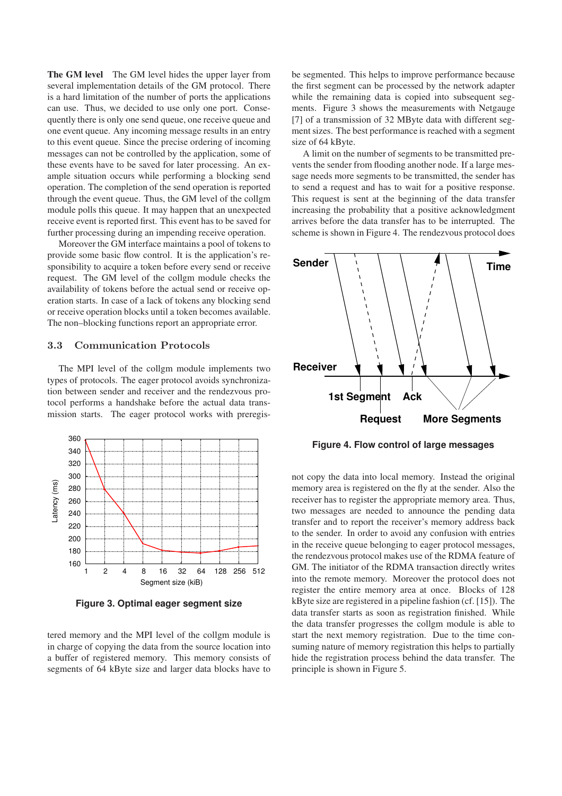**The GM level** The GM level hides the upper layer from several implementation details of the GM protocol. There is a hard limitation of the number of ports the applications can use. Thus, we decided to use only one port. Consequently there is only one send queue, one receive queue and one event queue. Any incoming message results in an entry to this event queue. Since the precise ordering of incoming messages can not be controlled by the application, some of these events have to be saved for later processing. An example situation occurs while performing a blocking send operation. The completion of the send operation is reported through the event queue. Thus, the GM level of the collgm module polls this queue. It may happen that an unexpected receive event is reported first. This event has to be saved for further processing during an impending receive operation.

Moreover the GM interface maintains a pool of tokens to provide some basic flow control. It is the application's responsibility to acquire a token before every send or receive request. The GM level of the collgm module checks the availability of tokens before the actual send or receive operation starts. In case of a lack of tokens any blocking send or receive operation blocks until a token becomes available. The non–blocking functions report an appropriate error.

### 3.3 Communication Protocols

The MPI level of the collgm module implements two types of protocols. The eager protocol avoids synchronization between sender and receiver and the rendezvous protocol performs a handshake before the actual data transmission starts. The eager protocol works with preregis-



**Figure 3. Optimal eager segment size**

tered memory and the MPI level of the collgm module is in charge of copying the data from the source location into a buffer of registered memory. This memory consists of segments of 64 kByte size and larger data blocks have to be segmented. This helps to improve performance because the first segment can be processed by the network adapter while the remaining data is copied into subsequent segments. Figure 3 shows the measurements with Netgauge [7] of a transmission of 32 MByte data with different segment sizes. The best performance is reached with a segment size of 64 kByte.

A limit on the number of segments to be transmitted prevents the sender from flooding another node. If a large message needs more segments to be transmitted, the sender has to send a request and has to wait for a positive response. This request is sent at the beginning of the data transfer increasing the probability that a positive acknowledgment arrives before the data transfer has to be interrupted. The scheme is shown in Figure 4. The rendezvous protocol does



**Figure 4. Flow control of large messages**

not copy the data into local memory. Instead the original memory area is registered on the fly at the sender. Also the receiver has to register the appropriate memory area. Thus, two messages are needed to announce the pending data transfer and to report the receiver's memory address back to the sender. In order to avoid any confusion with entries in the receive queue belonging to eager protocol messages, the rendezvous protocol makes use of the RDMA feature of GM. The initiator of the RDMA transaction directly writes into the remote memory. Moreover the protocol does not register the entire memory area at once. Blocks of 128 kByte size are registered in a pipeline fashion (cf. [15]). The data transfer starts as soon as registration finished. While the data transfer progresses the collgm module is able to start the next memory registration. Due to the time consuming nature of memory registration this helps to partially hide the registration process behind the data transfer. The principle is shown in Figure 5.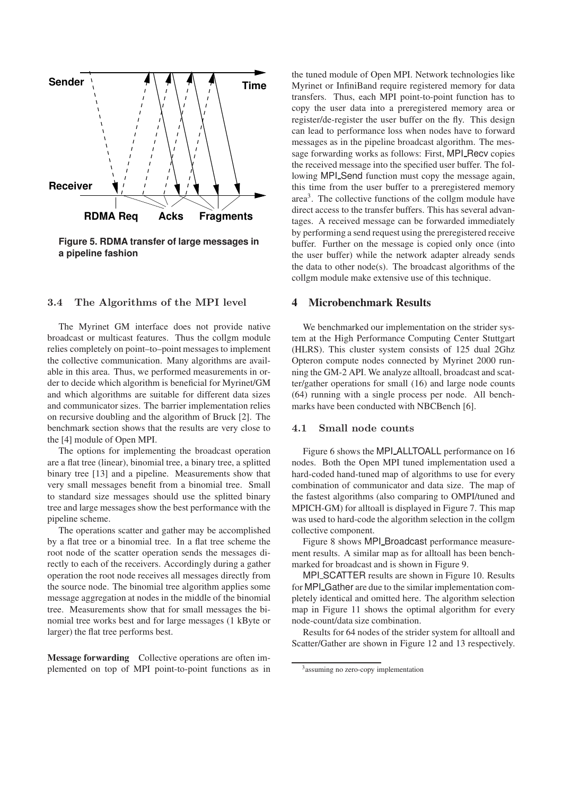

**Figure 5. RDMA transfer of large messages in a pipeline fashion**

#### 3.4 The Algorithms of the MPI level

The Myrinet GM interface does not provide native broadcast or multicast features. Thus the collgm module relies completely on point–to–point messages to implement the collective communication. Many algorithms are available in this area. Thus, we performed measurements in order to decide which algorithm is beneficial for Myrinet/GM and which algorithms are suitable for different data sizes and communicator sizes. The barrier implementation relies on recursive doubling and the algorithm of Bruck [2]. The benchmark section shows that the results are very close to the [4] module of Open MPI.

The options for implementing the broadcast operation are a flat tree (linear), binomial tree, a binary tree, a splitted binary tree [13] and a pipeline. Measurements show that very small messages benefit from a binomial tree. Small to standard size messages should use the splitted binary tree and large messages show the best performance with the pipeline scheme.

The operations scatter and gather may be accomplished by a flat tree or a binomial tree. In a flat tree scheme the root node of the scatter operation sends the messages directly to each of the receivers. Accordingly during a gather operation the root node receives all messages directly from the source node. The binomial tree algorithm applies some message aggregation at nodes in the middle of the binomial tree. Measurements show that for small messages the binomial tree works best and for large messages (1 kByte or larger) the flat tree performs best.

**Message forwarding** Collective operations are often implemented on top of MPI point-to-point functions as in the tuned module of Open MPI. Network technologies like Myrinet or InfiniBand require registered memory for data transfers. Thus, each MPI point-to-point function has to copy the user data into a preregistered memory area or register/de-register the user buffer on the fly. This design can lead to performance loss when nodes have to forward messages as in the pipeline broadcast algorithm. The message forwarding works as follows: First, MPI Recv copies the received message into the specified user buffer. The following MPI Send function must copy the message again, this time from the user buffer to a preregistered memory area<sup>3</sup>. The collective functions of the collgm module have direct access to the transfer buffers. This has several advantages. A received message can be forwarded immediately by performing a send request using the preregistered receive buffer. Further on the message is copied only once (into the user buffer) while the network adapter already sends the data to other node(s). The broadcast algorithms of the collgm module make extensive use of this technique.

#### **4 Microbenchmark Results**

We benchmarked our implementation on the strider system at the High Performance Computing Center Stuttgart (HLRS). This cluster system consists of 125 dual 2Ghz Opteron compute nodes connected by Myrinet 2000 running the GM-2 API. We analyze alltoall, broadcast and scatter/gather operations for small (16) and large node counts (64) running with a single process per node. All benchmarks have been conducted with NBCBench [6].

### 4.1 Small node counts

Figure 6 shows the MPI\_ALLTOALL performance on 16 nodes. Both the Open MPI tuned implementation used a hard-coded hand-tuned map of algorithms to use for every combination of communicator and data size. The map of the fastest algorithms (also comparing to OMPI/tuned and MPICH-GM) for alltoall is displayed in Figure 7. This map was used to hard-code the algorithm selection in the collgm collective component.

Figure 8 shows MPI\_Broadcast performance measurement results. A similar map as for alltoall has been benchmarked for broadcast and is shown in Figure 9.

MPI SCATTER results are shown in Figure 10. Results for MPI\_Gather are due to the similar implementation completely identical and omitted here. The algorithm selection map in Figure 11 shows the optimal algorithm for every node-count/data size combination.

Results for 64 nodes of the strider system for alltoall and Scatter/Gather are shown in Figure 12 and 13 respectively.

<sup>&</sup>lt;sup>3</sup> assuming no zero-copy implementation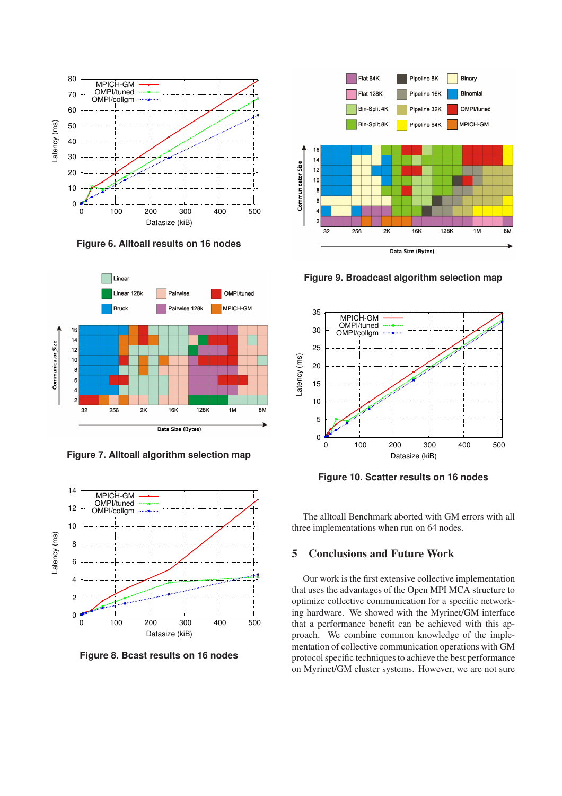

**Figure 6. Alltoall results on 16 nodes**



**Figure 7. Alltoall algorithm selection map**



**Figure 8. Bcast results on 16 nodes**



**Figure 9. Broadcast algorithm selection map**



**Figure 10. Scatter results on 16 nodes**

The alltoall Benchmark aborted with GM errors with all three implementations when run on 64 nodes.

## **5 Conclusions and Future Work**

Our work is the first extensive collective implementation that uses the advantages of the Open MPI MCA structure to optimize collective communication for a specific networking hardware. We showed with the Myrinet/GM interface that a performance benefit can be achieved with this approach. We combine common knowledge of the implementation of collective communication operations with GM protocol specific techniques to achieve the best performance on Myrinet/GM cluster systems. However, we are not sure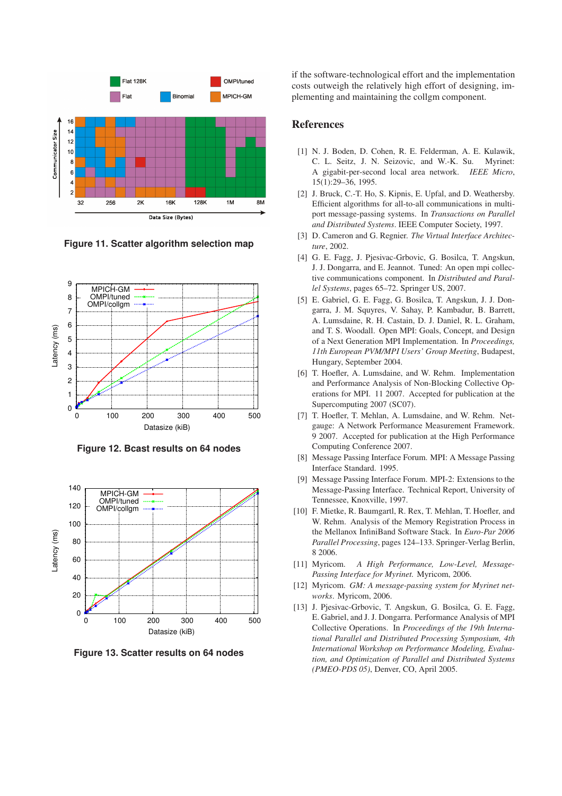

**Figure 11. Scatter algorithm selection map**



**Figure 12. Bcast results on 64 nodes**



**Figure 13. Scatter results on 64 nodes**

if the software-technological effort and the implementation costs outweigh the relatively high effort of designing, implementing and maintaining the collgm component.

### **References**

- [1] N. J. Boden, D. Cohen, R. E. Felderman, A. E. Kulawik, C. L. Seitz, J. N. Seizovic, and W.-K. Su. Myrinet: A gigabit-per-second local area network. *IEEE Micro*, 15(1):29–36, 1995.
- [2] J. Bruck, C.-T. Ho, S. Kipnis, E. Upfal, and D. Weathersby. Efficient algorithms for all-to-all communications in multiport message-passing systems. In *Transactions on Parallel and Distributed Systems*. IEEE Computer Society, 1997.
- [3] D. Cameron and G. Regnier. *The Virtual Interface Architecture*, 2002.
- [4] G. E. Fagg, J. Pjesivac-Grbovic, G. Bosilca, T. Angskun, J. J. Dongarra, and E. Jeannot. Tuned: An open mpi collective communications component. In *Distributed and Parallel Systems*, pages 65–72. Springer US, 2007.
- [5] E. Gabriel, G. E. Fagg, G. Bosilca, T. Angskun, J. J. Dongarra, J. M. Squyres, V. Sahay, P. Kambadur, B. Barrett, A. Lumsdaine, R. H. Castain, D. J. Daniel, R. L. Graham, and T. S. Woodall. Open MPI: Goals, Concept, and Design of a Next Generation MPI Implementation. In *Proceedings, 11th European PVM/MPI Users' Group Meeting*, Budapest, Hungary, September 2004.
- [6] T. Hoefler, A. Lumsdaine, and W. Rehm. Implementation and Performance Analysis of Non-Blocking Collective Operations for MPI. 11 2007. Accepted for publication at the Supercomputing 2007 (SC07).
- [7] T. Hoefler, T. Mehlan, A. Lumsdaine, and W. Rehm. Netgauge: A Network Performance Measurement Framework. 9 2007. Accepted for publication at the High Performance Computing Conference 2007.
- [8] Message Passing Interface Forum. MPI: A Message Passing Interface Standard. 1995.
- [9] Message Passing Interface Forum. MPI-2: Extensions to the Message-Passing Interface. Technical Report, University of Tennessee, Knoxville, 1997.
- [10] F. Mietke, R. Baumgartl, R. Rex, T. Mehlan, T. Hoefler, and W. Rehm. Analysis of the Memory Registration Process in the Mellanox InfiniBand Software Stack. In *Euro-Par 2006 Parallel Processing*, pages 124–133. Springer-Verlag Berlin, 8 2006.
- [11] Myricom. *A High Performance, Low-Level, Message-Passing Interface for Myrinet.* Myricom, 2006.
- [12] Myricom. *GM: A message-passing system for Myrinet networks*. Myricom, 2006.
- [13] J. Pjesivac-Grbovic, T. Angskun, G. Bosilca, G. E. Fagg, E. Gabriel, and J. J. Dongarra. Performance Analysis of MPI Collective Operations. In *Proceedings of the 19th International Parallel and Distributed Processing Symposium, 4th International Workshop on Performance Modeling, Evaluation, and Optimization of Parallel and Distributed Systems (PMEO-PDS 05)*, Denver, CO, April 2005.